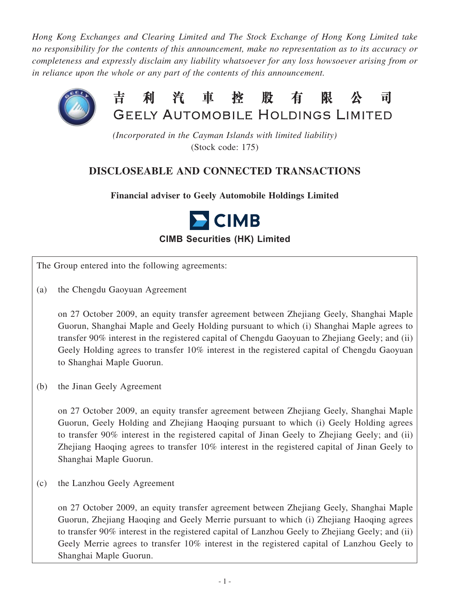*Hong Kong Exchanges and Clearing Limited and The Stock Exchange of Hong Kong Limited take no responsibility for the contents of this announcement, make no representation as to its accuracy or completeness and expressly disclaim any liability whatsoever for any loss howsoever arising from or in reliance upon the whole or any part of the contents of this announcement.*



*(Incorporated in the Cayman Islands with limited liability)* (Stock code: 175)

# **DISCLOSEABLE AND CONNECTED TRANSACTIONS**

**Financial adviser to Geely Automobile Holdings Limited**



**CIMB Securities (HK) Limited**

The Group entered into the following agreements:

(a) the Chengdu Gaoyuan Agreement

on 27 October 2009, an equity transfer agreement between Zhejiang Geely, Shanghai Maple Guorun, Shanghai Maple and Geely Holding pursuant to which (i) Shanghai Maple agrees to transfer 90% interest in the registered capital of Chengdu Gaoyuan to Zhejiang Geely; and (ii) Geely Holding agrees to transfer 10% interest in the registered capital of Chengdu Gaoyuan to Shanghai Maple Guorun.

(b) the Jinan Geely Agreement

on 27 October 2009, an equity transfer agreement between Zhejiang Geely, Shanghai Maple Guorun, Geely Holding and Zhejiang Haoqing pursuant to which (i) Geely Holding agrees to transfer 90% interest in the registered capital of Jinan Geely to Zhejiang Geely; and (ii) Zhejiang Haoqing agrees to transfer 10% interest in the registered capital of Jinan Geely to Shanghai Maple Guorun.

(c) the Lanzhou Geely Agreement

on 27 October 2009, an equity transfer agreement between Zhejiang Geely, Shanghai Maple Guorun, Zhejiang Haoqing and Geely Merrie pursuant to which (i) Zhejiang Haoqing agrees to transfer 90% interest in the registered capital of Lanzhou Geely to Zhejiang Geely; and (ii) Geely Merrie agrees to transfer 10% interest in the registered capital of Lanzhou Geely to Shanghai Maple Guorun.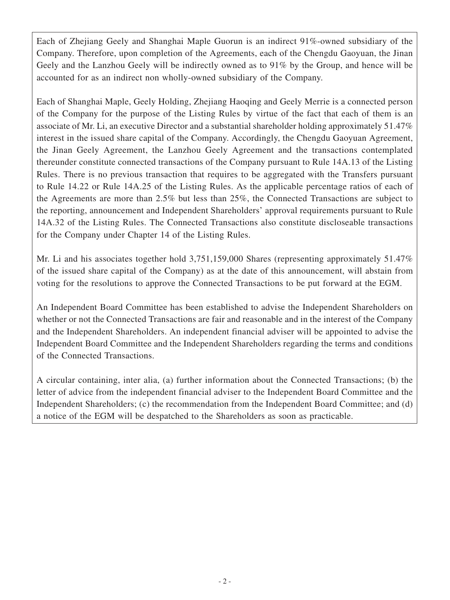Each of Zhejiang Geely and Shanghai Maple Guorun is an indirect 91%-owned subsidiary of the Company. Therefore, upon completion of the Agreements, each of the Chengdu Gaoyuan, the Jinan Geely and the Lanzhou Geely will be indirectly owned as to 91% by the Group, and hence will be accounted for as an indirect non wholly-owned subsidiary of the Company.

Each of Shanghai Maple, Geely Holding, Zhejiang Haoqing and Geely Merrie is a connected person of the Company for the purpose of the Listing Rules by virtue of the fact that each of them is an associate of Mr. Li, an executive Director and a substantial shareholder holding approximately 51.47% interest in the issued share capital of the Company. Accordingly, the Chengdu Gaoyuan Agreement, the Jinan Geely Agreement, the Lanzhou Geely Agreement and the transactions contemplated thereunder constitute connected transactions of the Company pursuant to Rule 14A.13 of the Listing Rules. There is no previous transaction that requires to be aggregated with the Transfers pursuant to Rule 14.22 or Rule 14A.25 of the Listing Rules. As the applicable percentage ratios of each of the Agreements are more than 2.5% but less than 25%, the Connected Transactions are subject to the reporting, announcement and Independent Shareholders' approval requirements pursuant to Rule 14A.32 of the Listing Rules. The Connected Transactions also constitute discloseable transactions for the Company under Chapter 14 of the Listing Rules.

Mr. Li and his associates together hold 3,751,159,000 Shares (representing approximately 51.47%) of the issued share capital of the Company) as at the date of this announcement, will abstain from voting for the resolutions to approve the Connected Transactions to be put forward at the EGM.

An Independent Board Committee has been established to advise the Independent Shareholders on whether or not the Connected Transactions are fair and reasonable and in the interest of the Company and the Independent Shareholders. An independent financial adviser will be appointed to advise the Independent Board Committee and the Independent Shareholders regarding the terms and conditions of the Connected Transactions.

A circular containing, inter alia, (a) further information about the Connected Transactions; (b) the letter of advice from the independent financial adviser to the Independent Board Committee and the Independent Shareholders; (c) the recommendation from the Independent Board Committee; and (d) a notice of the EGM will be despatched to the Shareholders as soon as practicable.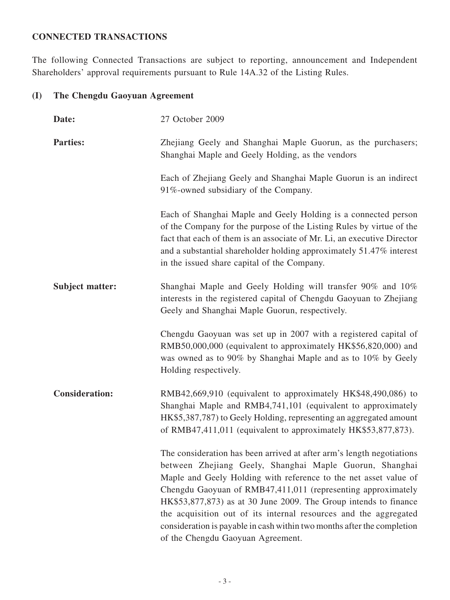## **CONNECTED TRANSACTIONS**

The following Connected Transactions are subject to reporting, announcement and Independent Shareholders' approval requirements pursuant to Rule 14A.32 of the Listing Rules.

## **(I) The Chengdu Gaoyuan Agreement**

| Date:                  | 27 October 2009                                                                                                                                                                                                                                                                                                                                                                                                                                                                                                              |
|------------------------|------------------------------------------------------------------------------------------------------------------------------------------------------------------------------------------------------------------------------------------------------------------------------------------------------------------------------------------------------------------------------------------------------------------------------------------------------------------------------------------------------------------------------|
| <b>Parties:</b>        | Zhejiang Geely and Shanghai Maple Guorun, as the purchasers;<br>Shanghai Maple and Geely Holding, as the vendors                                                                                                                                                                                                                                                                                                                                                                                                             |
|                        | Each of Zhejiang Geely and Shanghai Maple Guorun is an indirect<br>91%-owned subsidiary of the Company.                                                                                                                                                                                                                                                                                                                                                                                                                      |
|                        | Each of Shanghai Maple and Geely Holding is a connected person<br>of the Company for the purpose of the Listing Rules by virtue of the<br>fact that each of them is an associate of Mr. Li, an executive Director<br>and a substantial shareholder holding approximately 51.47% interest<br>in the issued share capital of the Company.                                                                                                                                                                                      |
| <b>Subject matter:</b> | Shanghai Maple and Geely Holding will transfer 90% and 10%<br>interests in the registered capital of Chengdu Gaoyuan to Zhejiang<br>Geely and Shanghai Maple Guorun, respectively.                                                                                                                                                                                                                                                                                                                                           |
|                        | Chengdu Gaoyuan was set up in 2007 with a registered capital of<br>RMB50,000,000 (equivalent to approximately HK\$56,820,000) and<br>was owned as to 90% by Shanghai Maple and as to 10% by Geely<br>Holding respectively.                                                                                                                                                                                                                                                                                                   |
| <b>Consideration:</b>  | RMB42,669,910 (equivalent to approximately HK\$48,490,086) to<br>Shanghai Maple and RMB4,741,101 (equivalent to approximately<br>HK\$5,387,787) to Geely Holding, representing an aggregated amount<br>of RMB47,411,011 (equivalent to approximately HK\$53,877,873).                                                                                                                                                                                                                                                        |
|                        | The consideration has been arrived at after arm's length negotiations<br>between Zhejiang Geely, Shanghai Maple Guorun, Shanghai<br>Maple and Geely Holding with reference to the net asset value of<br>Chengdu Gaoyuan of RMB47,411,011 (representing approximately<br>HK\$53,877,873) as at 30 June 2009. The Group intends to finance<br>the acquisition out of its internal resources and the aggregated<br>consideration is payable in cash within two months after the completion<br>of the Chengdu Gaoyuan Agreement. |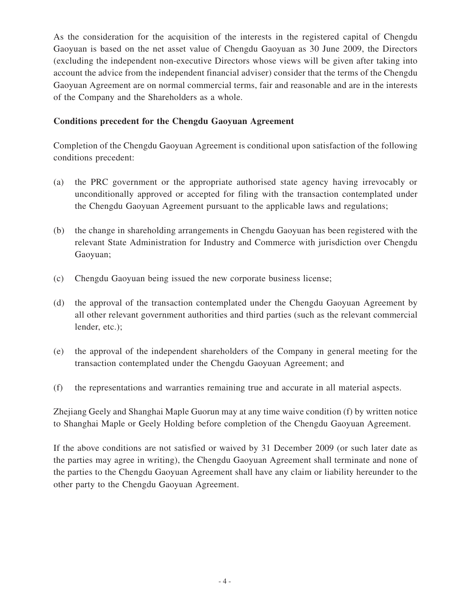As the consideration for the acquisition of the interests in the registered capital of Chengdu Gaoyuan is based on the net asset value of Chengdu Gaoyuan as 30 June 2009, the Directors (excluding the independent non-executive Directors whose views will be given after taking into account the advice from the independent financial adviser) consider that the terms of the Chengdu Gaoyuan Agreement are on normal commercial terms, fair and reasonable and are in the interests of the Company and the Shareholders as a whole.

#### **Conditions precedent for the Chengdu Gaoyuan Agreement**

Completion of the Chengdu Gaoyuan Agreement is conditional upon satisfaction of the following conditions precedent:

- (a) the PRC government or the appropriate authorised state agency having irrevocably or unconditionally approved or accepted for filing with the transaction contemplated under the Chengdu Gaoyuan Agreement pursuant to the applicable laws and regulations;
- (b) the change in shareholding arrangements in Chengdu Gaoyuan has been registered with the relevant State Administration for Industry and Commerce with jurisdiction over Chengdu Gaoyuan;
- (c) Chengdu Gaoyuan being issued the new corporate business license;
- (d) the approval of the transaction contemplated under the Chengdu Gaoyuan Agreement by all other relevant government authorities and third parties (such as the relevant commercial lender, etc.);
- (e) the approval of the independent shareholders of the Company in general meeting for the transaction contemplated under the Chengdu Gaoyuan Agreement; and
- (f) the representations and warranties remaining true and accurate in all material aspects.

Zhejiang Geely and Shanghai Maple Guorun may at any time waive condition (f) by written notice to Shanghai Maple or Geely Holding before completion of the Chengdu Gaoyuan Agreement.

If the above conditions are not satisfied or waived by 31 December 2009 (or such later date as the parties may agree in writing), the Chengdu Gaoyuan Agreement shall terminate and none of the parties to the Chengdu Gaoyuan Agreement shall have any claim or liability hereunder to the other party to the Chengdu Gaoyuan Agreement.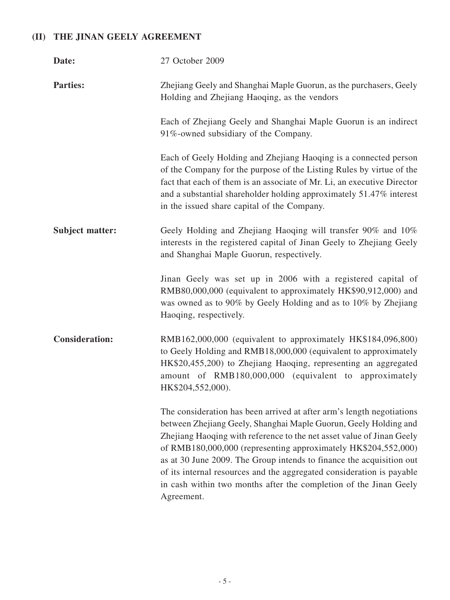# **(II) The Jinan Geely Agreement**

| Date:                  | 27 October 2009                                                                                                                                                                                                                                                                                                                                                                                                                                                                                                          |
|------------------------|--------------------------------------------------------------------------------------------------------------------------------------------------------------------------------------------------------------------------------------------------------------------------------------------------------------------------------------------------------------------------------------------------------------------------------------------------------------------------------------------------------------------------|
| <b>Parties:</b>        | Zhejiang Geely and Shanghai Maple Guorun, as the purchasers, Geely<br>Holding and Zhejiang Haoqing, as the vendors                                                                                                                                                                                                                                                                                                                                                                                                       |
|                        | Each of Zhejiang Geely and Shanghai Maple Guorun is an indirect<br>91%-owned subsidiary of the Company.                                                                                                                                                                                                                                                                                                                                                                                                                  |
|                        | Each of Geely Holding and Zhejiang Haoqing is a connected person<br>of the Company for the purpose of the Listing Rules by virtue of the<br>fact that each of them is an associate of Mr. Li, an executive Director<br>and a substantial shareholder holding approximately 51.47% interest<br>in the issued share capital of the Company.                                                                                                                                                                                |
| <b>Subject matter:</b> | Geely Holding and Zhejiang Haoqing will transfer 90% and 10%<br>interests in the registered capital of Jinan Geely to Zhejiang Geely<br>and Shanghai Maple Guorun, respectively.                                                                                                                                                                                                                                                                                                                                         |
|                        | Jinan Geely was set up in 2006 with a registered capital of<br>RMB80,000,000 (equivalent to approximately HK\$90,912,000) and<br>was owned as to 90% by Geely Holding and as to 10% by Zhejiang<br>Haoqing, respectively.                                                                                                                                                                                                                                                                                                |
| <b>Consideration:</b>  | RMB162,000,000 (equivalent to approximately HK\$184,096,800)<br>to Geely Holding and RMB18,000,000 (equivalent to approximately<br>HK\$20,455,200) to Zhejiang Haoqing, representing an aggregated<br>amount of RMB180,000,000 (equivalent to approximately<br>HK\$204,552,000).                                                                                                                                                                                                                                         |
|                        | The consideration has been arrived at after arm's length negotiations<br>between Zhejiang Geely, Shanghai Maple Guorun, Geely Holding and<br>Zhejiang Haoqing with reference to the net asset value of Jinan Geely<br>of RMB180,000,000 (representing approximately HK\$204,552,000)<br>as at 30 June 2009. The Group intends to finance the acquisition out<br>of its internal resources and the aggregated consideration is payable<br>in cash within two months after the completion of the Jinan Geely<br>Agreement. |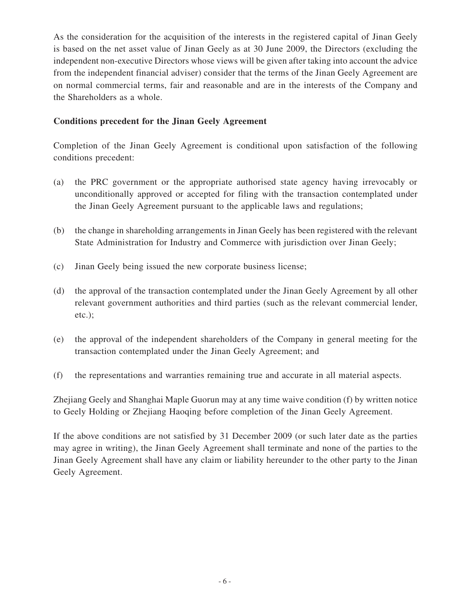As the consideration for the acquisition of the interests in the registered capital of Jinan Geely is based on the net asset value of Jinan Geely as at 30 June 2009, the Directors (excluding the independent non-executive Directors whose views will be given after taking into account the advice from the independent financial adviser) consider that the terms of the Jinan Geely Agreement are on normal commercial terms, fair and reasonable and are in the interests of the Company and the Shareholders as a whole.

#### **Conditions precedent for the Jinan Geely Agreement**

Completion of the Jinan Geely Agreement is conditional upon satisfaction of the following conditions precedent:

- (a) the PRC government or the appropriate authorised state agency having irrevocably or unconditionally approved or accepted for filing with the transaction contemplated under the Jinan Geely Agreement pursuant to the applicable laws and regulations;
- (b) the change in shareholding arrangements in Jinan Geely has been registered with the relevant State Administration for Industry and Commerce with jurisdiction over Jinan Geely;
- (c) Jinan Geely being issued the new corporate business license;
- (d) the approval of the transaction contemplated under the Jinan Geely Agreement by all other relevant government authorities and third parties (such as the relevant commercial lender, etc.);
- (e) the approval of the independent shareholders of the Company in general meeting for the transaction contemplated under the Jinan Geely Agreement; and
- (f) the representations and warranties remaining true and accurate in all material aspects.

Zhejiang Geely and Shanghai Maple Guorun may at any time waive condition (f) by written notice to Geely Holding or Zhejiang Haoqing before completion of the Jinan Geely Agreement.

If the above conditions are not satisfied by 31 December 2009 (or such later date as the parties may agree in writing), the Jinan Geely Agreement shall terminate and none of the parties to the Jinan Geely Agreement shall have any claim or liability hereunder to the other party to the Jinan Geely Agreement.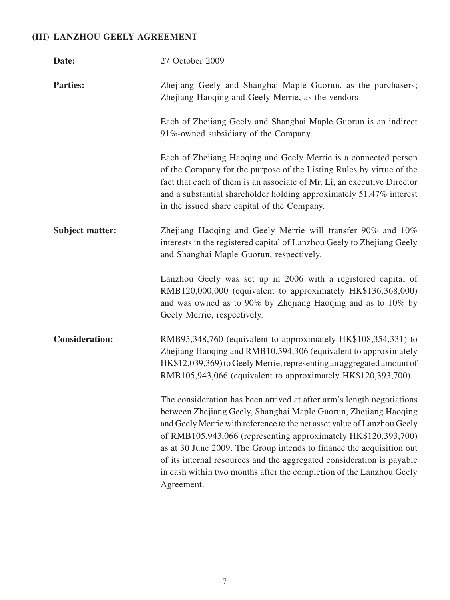## **(III) Lanzhou Geely Agreement**

| Date:                  | 27 October 2009                                                                                                                                                                                                                                                                                                                                                                                                                                                                                                             |
|------------------------|-----------------------------------------------------------------------------------------------------------------------------------------------------------------------------------------------------------------------------------------------------------------------------------------------------------------------------------------------------------------------------------------------------------------------------------------------------------------------------------------------------------------------------|
| <b>Parties:</b>        | Zhejiang Geely and Shanghai Maple Guorun, as the purchasers;<br>Zhejiang Haoqing and Geely Merrie, as the vendors                                                                                                                                                                                                                                                                                                                                                                                                           |
|                        | Each of Zhejiang Geely and Shanghai Maple Guorun is an indirect<br>91%-owned subsidiary of the Company.                                                                                                                                                                                                                                                                                                                                                                                                                     |
|                        | Each of Zhejiang Haoqing and Geely Merrie is a connected person<br>of the Company for the purpose of the Listing Rules by virtue of the<br>fact that each of them is an associate of Mr. Li, an executive Director<br>and a substantial shareholder holding approximately 51.47% interest<br>in the issued share capital of the Company.                                                                                                                                                                                    |
| <b>Subject matter:</b> | Zhejiang Haoqing and Geely Merrie will transfer 90% and 10%<br>interests in the registered capital of Lanzhou Geely to Zhejiang Geely<br>and Shanghai Maple Guorun, respectively.                                                                                                                                                                                                                                                                                                                                           |
|                        | Lanzhou Geely was set up in 2006 with a registered capital of<br>RMB120,000,000 (equivalent to approximately HK\$136,368,000)<br>and was owned as to 90% by Zhejiang Haoqing and as to 10% by<br>Geely Merrie, respectively.                                                                                                                                                                                                                                                                                                |
| <b>Consideration:</b>  | RMB95,348,760 (equivalent to approximately HK\$108,354,331) to<br>Zhejiang Haoqing and RMB10,594,306 (equivalent to approximately<br>HK\$12,039,369) to Geely Merrie, representing an aggregated amount of<br>RMB105,943,066 (equivalent to approximately HK\$120,393,700).                                                                                                                                                                                                                                                 |
|                        | The consideration has been arrived at after arm's length negotiations<br>between Zhejiang Geely, Shanghai Maple Guorun, Zhejiang Haoqing<br>and Geely Merrie with reference to the net asset value of Lanzhou Geely<br>of RMB105,943,066 (representing approximately HK\$120,393,700)<br>as at 30 June 2009. The Group intends to finance the acquisition out<br>of its internal resources and the aggregated consideration is payable<br>in cash within two months after the completion of the Lanzhou Geely<br>Agreement. |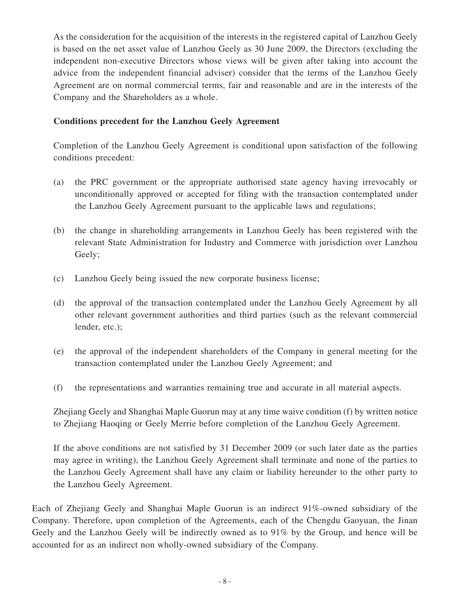As the consideration for the acquisition of the interests in the registered capital of Lanzhou Geely is based on the net asset value of Lanzhou Geely as 30 June 2009, the Directors (excluding the independent non-executive Directors whose views will be given after taking into account the advice from the independent financial adviser) consider that the terms of the Lanzhou Geely Agreement are on normal commercial terms, fair and reasonable and are in the interests of the Company and the Shareholders as a whole.

### **Conditions precedent for the Lanzhou Geely Agreement**

Completion of the Lanzhou Geely Agreement is conditional upon satisfaction of the following conditions precedent:

- (a) the PRC government or the appropriate authorised state agency having irrevocably or unconditionally approved or accepted for filing with the transaction contemplated under the Lanzhou Geely Agreement pursuant to the applicable laws and regulations;
- (b) the change in shareholding arrangements in Lanzhou Geely has been registered with the relevant State Administration for Industry and Commerce with jurisdiction over Lanzhou Geely;
- (c) Lanzhou Geely being issued the new corporate business license;
- (d) the approval of the transaction contemplated under the Lanzhou Geely Agreement by all other relevant government authorities and third parties (such as the relevant commercial lender, etc.);
- (e) the approval of the independent shareholders of the Company in general meeting for the transaction contemplated under the Lanzhou Geely Agreement; and
- (f) the representations and warranties remaining true and accurate in all material aspects.

Zhejiang Geely and Shanghai Maple Guorun may at any time waive condition (f) by written notice to Zhejiang Haoqing or Geely Merrie before completion of the Lanzhou Geely Agreement.

If the above conditions are not satisfied by 31 December 2009 (or such later date as the parties may agree in writing), the Lanzhou Geely Agreement shall terminate and none of the parties to the Lanzhou Geely Agreement shall have any claim or liability hereunder to the other party to the Lanzhou Geely Agreement.

Each of Zhejiang Geely and Shanghai Maple Guorun is an indirect 91%-owned subsidiary of the Company. Therefore, upon completion of the Agreements, each of the Chengdu Gaoyuan, the Jinan Geely and the Lanzhou Geely will be indirectly owned as to 91% by the Group, and hence will be accounted for as an indirect non wholly-owned subsidiary of the Company.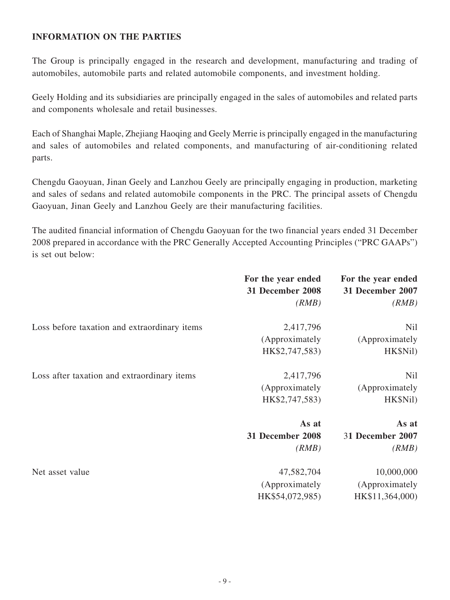### **INFORMATION ON THE PARTIES**

The Group is principally engaged in the research and development, manufacturing and trading of automobiles, automobile parts and related automobile components, and investment holding.

Geely Holding and its subsidiaries are principally engaged in the sales of automobiles and related parts and components wholesale and retail businesses.

Each of Shanghai Maple, Zhejiang Haoqing and Geely Merrie is principally engaged in the manufacturing and sales of automobiles and related components, and manufacturing of air-conditioning related parts.

Chengdu Gaoyuan, Jinan Geely and Lanzhou Geely are principally engaging in production, marketing and sales of sedans and related automobile components in the PRC. The principal assets of Chengdu Gaoyuan, Jinan Geely and Lanzhou Geely are their manufacturing facilities.

The audited financial information of Chengdu Gaoyuan for the two financial years ended 31 December 2008 prepared in accordance with the PRC Generally Accepted Accounting Principles ("PRC GAAPs") is set out below:

|                                              | For the year ended<br>31 December 2008<br>(RMB) | For the year ended<br>31 December 2007<br>(RMB) |
|----------------------------------------------|-------------------------------------------------|-------------------------------------------------|
| Loss before taxation and extraordinary items | 2,417,796<br>(Approximately<br>HK\$2,747,583)   | Nil<br>(Approximately<br>HK\$Nil)               |
| Loss after taxation and extraordinary items  | 2,417,796<br>(Approximately<br>HK\$2,747,583)   | Nil<br>(Approximately<br>HK\$Nil)               |
|                                              | As at<br>31 December 2008<br>(RMB)              | As at<br>31 December 2007<br>(RMB)              |
| Net asset value                              | 47,582,704<br>(Approximately<br>HK\$54,072,985) | 10,000,000<br>(Approximately<br>HK\$11,364,000) |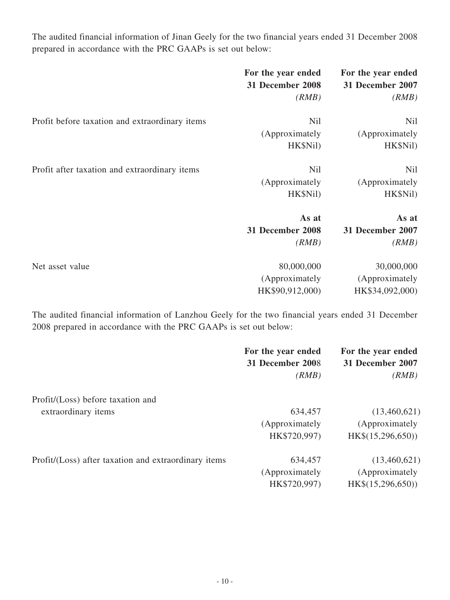The audited financial information of Jinan Geely for the two financial years ended 31 December 2008 prepared in accordance with the PRC GAAPs is set out below:

| 31 December 2007<br>31 December 2008<br>(RMB)               | (RMB)      |
|-------------------------------------------------------------|------------|
|                                                             |            |
| Nil<br>Profit before taxation and extraordinary items       | <b>Nil</b> |
| (Approximately<br>(Approximately                            |            |
| HK\$Nil)                                                    | HK\$Nil)   |
| <b>Nil</b><br>Profit after taxation and extraordinary items | <b>Nil</b> |
| (Approximately<br>(Approximately)                           |            |
| HK\$Nil)                                                    | HK\$Nil)   |
| As at                                                       | As at      |
| 31 December 2008<br><b>31 December 2007</b>                 |            |
| (RMB)                                                       | (RMB)      |
| 80,000,000<br>Net asset value                               | 30,000,000 |
| (Approximately<br>(Approximately                            |            |
| HK\$90,912,000)<br>HK\$34,092,000)                          |            |

The audited financial information of Lanzhou Geely for the two financial years ended 31 December 2008 prepared in accordance with the PRC GAAPs is set out below:

|                                                      | For the year ended | For the year ended |
|------------------------------------------------------|--------------------|--------------------|
|                                                      | 31 December 2008   | 31 December 2007   |
|                                                      | (RMB)              | (RMB)              |
| Profit/(Loss) before taxation and                    |                    |                    |
| extraordinary items                                  | 634,457            | (13,460,621)       |
|                                                      | (Approximately)    | (Approximately     |
|                                                      | HK\$720,997)       | HK\$(15,296,650))  |
| Profit/(Loss) after taxation and extraordinary items | 634,457            | (13,460,621)       |
|                                                      | (Approximately)    | (Approximately)    |
|                                                      | HK\$720,997)       | HK\$(15,296,650))  |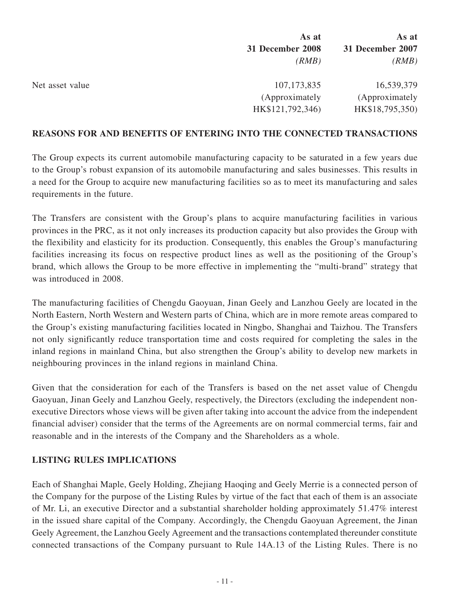|                 | As at                               | As at                              |
|-----------------|-------------------------------------|------------------------------------|
|                 | 31 December 2008                    | 31 December 2007                   |
|                 | (RMB)                               | (RMB)                              |
| Net asset value | 107, 173, 835                       | 16,539,379                         |
|                 | (Approximately)<br>HK\$121,792,346) | (Approximately)<br>HK\$18,795,350) |

#### **REASONS FOR AND BENEFITS OF entering into THE CONNECTED TRANSACTIONS**

The Group expects its current automobile manufacturing capacity to be saturated in a few years due to the Group's robust expansion of its automobile manufacturing and sales businesses. This results in a need for the Group to acquire new manufacturing facilities so as to meet its manufacturing and sales requirements in the future.

The Transfers are consistent with the Group's plans to acquire manufacturing facilities in various provinces in the PRC, as it not only increases its production capacity but also provides the Group with the flexibility and elasticity for its production. Consequently, this enables the Group's manufacturing facilities increasing its focus on respective product lines as well as the positioning of the Group's brand, which allows the Group to be more effective in implementing the "multi-brand" strategy that was introduced in 2008.

The manufacturing facilities of Chengdu Gaoyuan, Jinan Geely and Lanzhou Geely are located in the North Eastern, North Western and Western parts of China, which are in more remote areas compared to the Group's existing manufacturing facilities located in Ningbo, Shanghai and Taizhou. The Transfers not only significantly reduce transportation time and costs required for completing the sales in the inland regions in mainland China, but also strengthen the Group's ability to develop new markets in neighbouring provinces in the inland regions in mainland China.

Given that the consideration for each of the Transfers is based on the net asset value of Chengdu Gaoyuan, Jinan Geely and Lanzhou Geely, respectively, the Directors (excluding the independent nonexecutive Directors whose views will be given after taking into account the advice from the independent financial adviser) consider that the terms of the Agreements are on normal commercial terms, fair and reasonable and in the interests of the Company and the Shareholders as a whole.

### **LISTING RULES IMPLICATIONS**

Each of Shanghai Maple, Geely Holding, Zhejiang Haoqing and Geely Merrie is a connected person of the Company for the purpose of the Listing Rules by virtue of the fact that each of them is an associate of Mr. Li, an executive Director and a substantial shareholder holding approximately 51.47% interest in the issued share capital of the Company. Accordingly, the Chengdu Gaoyuan Agreement, the Jinan Geely Agreement, the Lanzhou Geely Agreement and the transactions contemplated thereunder constitute connected transactions of the Company pursuant to Rule 14A.13 of the Listing Rules. There is no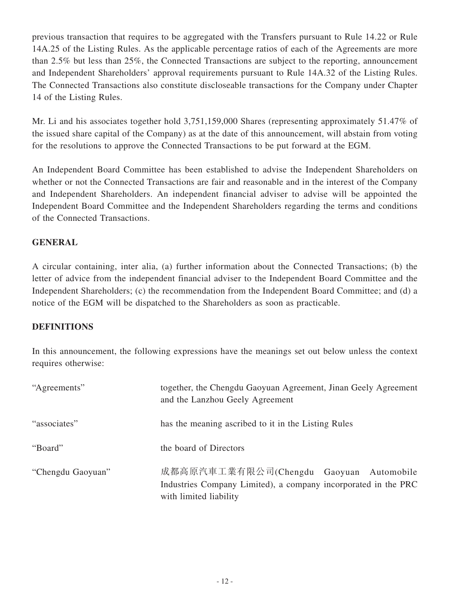previous transaction that requires to be aggregated with the Transfers pursuant to Rule 14.22 or Rule 14A.25 of the Listing Rules. As the applicable percentage ratios of each of the Agreements are more than 2.5% but less than 25%, the Connected Transactions are subject to the reporting, announcement and Independent Shareholders' approval requirements pursuant to Rule 14A.32 of the Listing Rules. The Connected Transactions also constitute discloseable transactions for the Company under Chapter 14 of the Listing Rules.

Mr. Li and his associates together hold 3,751,159,000 Shares (representing approximately 51.47% of the issued share capital of the Company) as at the date of this announcement, will abstain from voting for the resolutions to approve the Connected Transactions to be put forward at the EGM.

An Independent Board Committee has been established to advise the Independent Shareholders on whether or not the Connected Transactions are fair and reasonable and in the interest of the Company and Independent Shareholders. An independent financial adviser to advise will be appointed the Independent Board Committee and the Independent Shareholders regarding the terms and conditions of the Connected Transactions.

### **GENERAL**

A circular containing, inter alia, (a) further information about the Connected Transactions; (b) the letter of advice from the independent financial adviser to the Independent Board Committee and the Independent Shareholders; (c) the recommendation from the Independent Board Committee; and (d) a notice of the EGM will be dispatched to the Shareholders as soon as practicable.

### **DEFINITIONS**

In this announcement, the following expressions have the meanings set out below unless the context requires otherwise:

| "Agreements"      | together, the Chengdu Gaoyuan Agreement, Jinan Geely Agreement<br>and the Lanzhou Geely Agreement                                   |
|-------------------|-------------------------------------------------------------------------------------------------------------------------------------|
| "associates"      | has the meaning ascribed to it in the Listing Rules                                                                                 |
| "Board"           | the board of Directors                                                                                                              |
| "Chengdu Gaoyuan" | 成都高原汽車工業有限公司(Chengdu Gaoyuan Automobile<br>Industries Company Limited), a company incorporated in the PRC<br>with limited liability |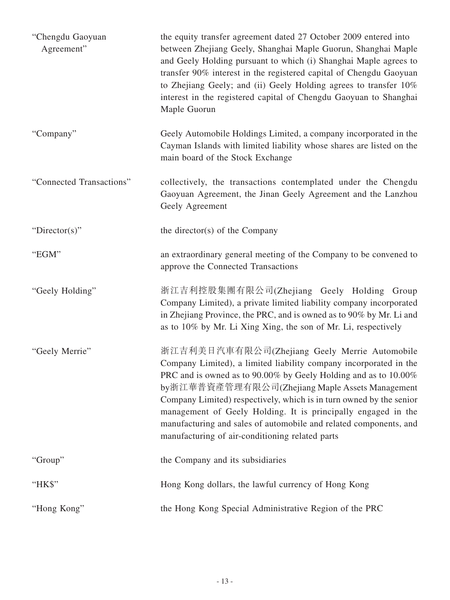| "Chengdu Gaoyuan<br>Agreement" | the equity transfer agreement dated 27 October 2009 entered into<br>between Zhejiang Geely, Shanghai Maple Guorun, Shanghai Maple<br>and Geely Holding pursuant to which (i) Shanghai Maple agrees to<br>transfer 90% interest in the registered capital of Chengdu Gaoyuan<br>to Zhejiang Geely; and (ii) Geely Holding agrees to transfer 10%<br>interest in the registered capital of Chengdu Gaoyuan to Shanghai<br>Maple Guorun                                                                     |
|--------------------------------|----------------------------------------------------------------------------------------------------------------------------------------------------------------------------------------------------------------------------------------------------------------------------------------------------------------------------------------------------------------------------------------------------------------------------------------------------------------------------------------------------------|
| "Company"                      | Geely Automobile Holdings Limited, a company incorporated in the<br>Cayman Islands with limited liability whose shares are listed on the<br>main board of the Stock Exchange                                                                                                                                                                                                                                                                                                                             |
| "Connected Transactions"       | collectively, the transactions contemplated under the Chengdu<br>Gaoyuan Agreement, the Jinan Geely Agreement and the Lanzhou<br>Geely Agreement                                                                                                                                                                                                                                                                                                                                                         |
| " $Directory$ "                | the director(s) of the Company                                                                                                                                                                                                                                                                                                                                                                                                                                                                           |
| "EGM"                          | an extraordinary general meeting of the Company to be convened to<br>approve the Connected Transactions                                                                                                                                                                                                                                                                                                                                                                                                  |
| "Geely Holding"                | 浙江吉利控股集團有限公司(Zhejiang Geely Holding Group<br>Company Limited), a private limited liability company incorporated<br>in Zhejiang Province, the PRC, and is owned as to 90% by Mr. Li and<br>as to 10% by Mr. Li Xing Xing, the son of Mr. Li, respectively                                                                                                                                                                                                                                                 |
| "Geely Merrie"                 | 浙江吉利美日汽車有限公司(Zhejiang Geely Merrie Automobile<br>Company Limited), a limited liability company incorporated in the<br>PRC and is owned as to 90.00% by Geely Holding and as to 10.00%<br>by浙江華普資產管理有限公司(Zhejiang Maple Assets Management<br>Company Limited) respectively, which is in turn owned by the senior<br>management of Geely Holding. It is principally engaged in the<br>manufacturing and sales of automobile and related components, and<br>manufacturing of air-conditioning related parts |
| "Group"                        | the Company and its subsidiaries                                                                                                                                                                                                                                                                                                                                                                                                                                                                         |
| "HK\$"                         | Hong Kong dollars, the lawful currency of Hong Kong                                                                                                                                                                                                                                                                                                                                                                                                                                                      |
| "Hong Kong"                    | the Hong Kong Special Administrative Region of the PRC                                                                                                                                                                                                                                                                                                                                                                                                                                                   |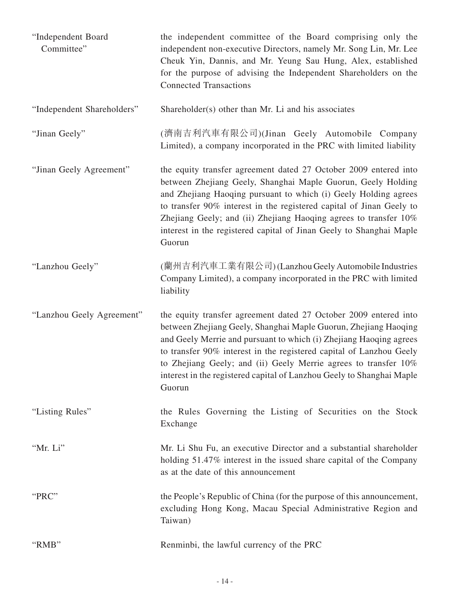| "Independent Board<br>Committee" | the independent committee of the Board comprising only the<br>independent non-executive Directors, namely Mr. Song Lin, Mr. Lee<br>Cheuk Yin, Dannis, and Mr. Yeung Sau Hung, Alex, established<br>for the purpose of advising the Independent Shareholders on the<br><b>Connected Transactions</b>                                                                                                                                    |
|----------------------------------|----------------------------------------------------------------------------------------------------------------------------------------------------------------------------------------------------------------------------------------------------------------------------------------------------------------------------------------------------------------------------------------------------------------------------------------|
| "Independent Shareholders"       | Shareholder(s) other than Mr. Li and his associates                                                                                                                                                                                                                                                                                                                                                                                    |
| "Jinan Geely"                    | (濟南吉利汽車有限公司)(Jinan Geely Automobile Company<br>Limited), a company incorporated in the PRC with limited liability                                                                                                                                                                                                                                                                                                                      |
| "Jinan Geely Agreement"          | the equity transfer agreement dated 27 October 2009 entered into<br>between Zhejiang Geely, Shanghai Maple Guorun, Geely Holding<br>and Zhejiang Haoqing pursuant to which (i) Geely Holding agrees<br>to transfer 90% interest in the registered capital of Jinan Geely to<br>Zhejiang Geely; and (ii) Zhejiang Haoqing agrees to transfer 10%<br>interest in the registered capital of Jinan Geely to Shanghai Maple<br>Guorun       |
| "Lanzhou Geely"                  | (蘭州吉利汽車工業有限公司)(Lanzhou Geely Automobile Industries<br>Company Limited), a company incorporated in the PRC with limited<br>liability                                                                                                                                                                                                                                                                                                    |
| "Lanzhou Geely Agreement"        | the equity transfer agreement dated 27 October 2009 entered into<br>between Zhejiang Geely, Shanghai Maple Guorun, Zhejiang Haoqing<br>and Geely Merrie and pursuant to which (i) Zhejiang Haoqing agrees<br>to transfer 90% interest in the registered capital of Lanzhou Geely<br>to Zhejiang Geely; and (ii) Geely Merrie agrees to transfer 10%<br>interest in the registered capital of Lanzhou Geely to Shanghai Maple<br>Guorun |
| "Listing Rules"                  | the Rules Governing the Listing of Securities on the Stock<br>Exchange                                                                                                                                                                                                                                                                                                                                                                 |
| "Mr. Li"                         | Mr. Li Shu Fu, an executive Director and a substantial shareholder<br>holding 51.47% interest in the issued share capital of the Company<br>as at the date of this announcement                                                                                                                                                                                                                                                        |
| "PRC"                            | the People's Republic of China (for the purpose of this announcement,<br>excluding Hong Kong, Macau Special Administrative Region and<br>Taiwan)                                                                                                                                                                                                                                                                                       |
| "RMB"                            | Renminbi, the lawful currency of the PRC                                                                                                                                                                                                                                                                                                                                                                                               |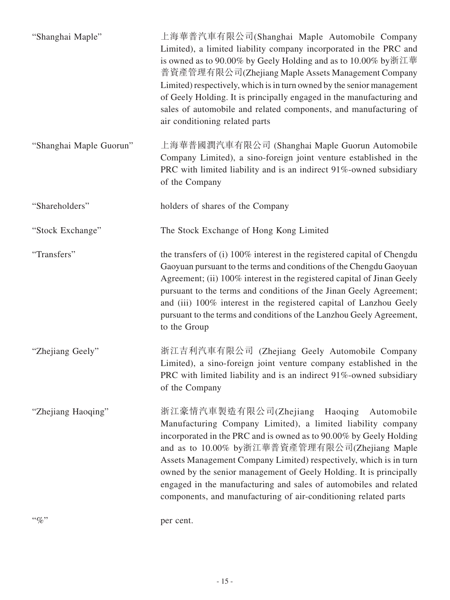| $``\%"$                 | per cent.                                                                                                                                                                                                                                                                                                                                                                                                                                                                                                          |
|-------------------------|--------------------------------------------------------------------------------------------------------------------------------------------------------------------------------------------------------------------------------------------------------------------------------------------------------------------------------------------------------------------------------------------------------------------------------------------------------------------------------------------------------------------|
| "Zhejiang Haoqing"      | 浙江豪情汽車製造有限公司(Zhejiang Haoqing Automobile<br>Manufacturing Company Limited), a limited liability company<br>incorporated in the PRC and is owned as to 90.00% by Geely Holding<br>and as to 10.00% by浙江華普資產管理有限公司(Zhejiang Maple<br>Assets Management Company Limited) respectively, which is in turn<br>owned by the senior management of Geely Holding. It is principally<br>engaged in the manufacturing and sales of automobiles and related<br>components, and manufacturing of air-conditioning related parts |
| "Zhejiang Geely"        | 浙江吉利汽車有限公司 (Zhejiang Geely Automobile Company<br>Limited), a sino-foreign joint venture company established in the<br>PRC with limited liability and is an indirect 91%-owned subsidiary<br>of the Company                                                                                                                                                                                                                                                                                                         |
| "Transfers"             | the transfers of (i) 100% interest in the registered capital of Chengdu<br>Gaoyuan pursuant to the terms and conditions of the Chengdu Gaoyuan<br>Agreement; (ii) 100% interest in the registered capital of Jinan Geely<br>pursuant to the terms and conditions of the Jinan Geely Agreement;<br>and (iii) 100% interest in the registered capital of Lanzhou Geely<br>pursuant to the terms and conditions of the Lanzhou Geely Agreement,<br>to the Group                                                       |
| "Stock Exchange"        | The Stock Exchange of Hong Kong Limited                                                                                                                                                                                                                                                                                                                                                                                                                                                                            |
| "Shareholders"          | holders of shares of the Company                                                                                                                                                                                                                                                                                                                                                                                                                                                                                   |
| "Shanghai Maple Guorun" | 上海華普國潤汽車有限公司 (Shanghai Maple Guorun Automobile<br>Company Limited), a sino-foreign joint venture established in the<br>PRC with limited liability and is an indirect 91%-owned subsidiary<br>of the Company                                                                                                                                                                                                                                                                                                        |
| "Shanghai Maple"        | 上海華普汽車有限公司(Shanghai Maple Automobile Company<br>Limited), a limited liability company incorporated in the PRC and<br>is owned as to 90.00% by Geely Holding and as to 10.00% by浙江華<br>普資產管理有限公司(Zhejiang Maple Assets Management Company<br>Limited) respectively, which is in turn owned by the senior management<br>of Geely Holding. It is principally engaged in the manufacturing and<br>sales of automobile and related components, and manufacturing of<br>air conditioning related parts                   |